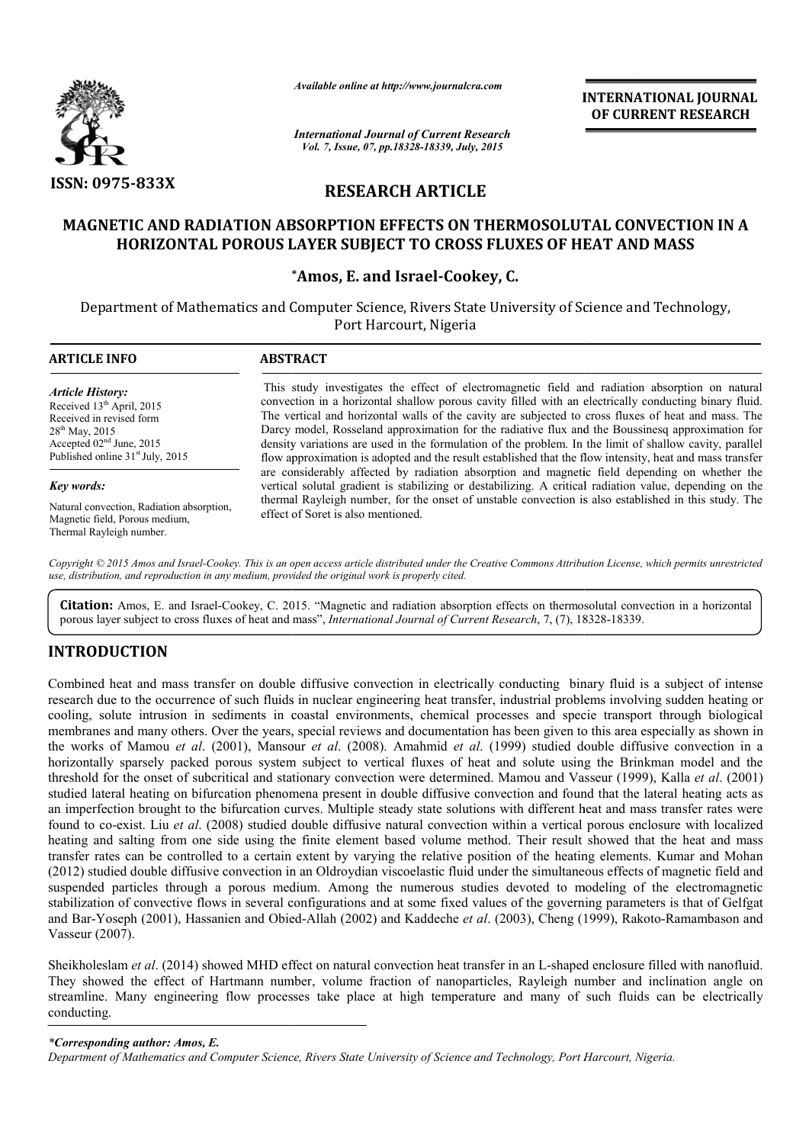

*Available online at http://www.journalcra.com*

*International Journal of Current Research Vol. 7, Issue, 07, pp.18328-18339, July, 2015*

**INTERNATIONAL INTERNATIONAL JOURNAL OF CURRENT RESEARCH** 

# **RESEARCH ARTICLE**

## **MAGNETIC AND RADIATION ABSORPTION EFFECTS ON THERMOSOLUTAL CONVECTION IN A 'TIC AND RADIATION ABSORPTION EFFECTS ON THERMOSOLUTAL CONVECTION<br>HORIZONTAL POROUS LAYER SUBJECT TO CROSS FLUXES OF HEAT AND MASS**

### **\* \*Amos, E. and Israel-Cookey, C.**

Department of Mathematics and Computer Science, Rivers State University of Science and Technology, Port Harcourt, Nigeria

| <b>ARTICLE INFO</b>                          | <b>ABSTRACT</b>                                                                                          |  |
|----------------------------------------------|----------------------------------------------------------------------------------------------------------|--|
| <b>Article History:</b>                      | This study investigates the effect of electromagnetic field and radiation absorption on natural          |  |
| Received 13 <sup>th</sup> April, 2015        | convection in a horizontal shallow porous cavity filled with an electrically conducting binary fluid.    |  |
| Received in revised form                     | The vertical and horizontal walls of the cavity are subjected to cross fluxes of heat and mass. The      |  |
| $28^{th}$ May, 2015                          | Darcy model, Rosseland approximation for the radiative flux and the Boussinesq approximation for         |  |
| Accepted $02nd$ June, 2015                   | density variations are used in the formulation of the problem. In the limit of shallow cavity, parallel  |  |
| Published online 31 <sup>st</sup> July, 2015 | flow approximation is adopted and the result established that the flow intensity, heat and mass transfer |  |
| Key words:                                   | are considerably affected by radiation absorption and magnetic field depending on whether the            |  |
| Natural convection, Radiation absorption,    | vertical solutal gradient is stabilizing or destabilizing. A critical radiation value, depending on the  |  |
| Magnetic field, Porous medium,               | thermal Rayleigh number, for the onset of unstable convection is also established in this study. The     |  |
| Thermal Rayleigh number.                     | effect of Soret is also mentioned.                                                                       |  |

Copyright © 2015 Amos and Israel-Cookey. This is an open access article distributed under the Creative Commons Attribution License, which permits unrestricted *use, distribution, and reproduction in any medium, provided the original work is properly cited.*

Citation: Amos, E. and Israel-Cookey, C. 2015. "Magnetic and radiation absorption effects on thermosolutal convection in a horizontal porous layer subject to cross fluxes of heat and mass", *International Journal of Current Research*, 7, (7), 18328-18339.

### **INTRODUCTION**

Combined heat and mass transfer on double diffusive convection in electrically conducting binary fluid is a subject of intense research due to the occurrence of such fluids in nuclear engineering heat transfer, industrial problems involving sudden heating or cooling, solute intrusion in sediments in coastal environments, chemical processes and specie transport through biological cooling, solute intrusion in sediments in coastal environments, chemical processes and specie transport through biological<br>membranes and many others. Over the years, special reviews and documentation has been given to this the works of Mamou *et al*. (2001), Mansour *et al*. (2008). Amahmid *et al*. (1999) studied double diffusive convection in a horizontally sparsely packed porous system subject to vertical fluxes of heat and solute using the Brinkman model and the threshold for the onset of subcritical and stationary convection were determined. Mamou and Vasseur (1999), Kalla *et al.* (2001) studied lateral heating on bifurcation phenomena present in double diffusive convection and found that the lateral heating acts as an imperfection brought to the bifurcation curves. Multiple steady state solutions with different heat and mass transfer rates were found to co-exist. Liu *et al*. (2008) studied double diffusive natural convection within a vertical porous enclosure with localized heating and salting from one side using the finite element based volume method. Their result showed that the heat and mass transfer rates can be controlled to a certain extent by varying the relative position of the heating elements. Kumar and Moha (2012) studied double diffusive convection in an Oldroydian viscoelastic fluid under the simultaneous effects of magnetic field and suspended particles through a porous medium. Among the numerous studies devoted to modeling of the electromagnetic stabilization of convective flows in several configurations and at some fixed values of the governing parameters is that of Gelfgat stabilization of convective flows in several configurations and at some fixed values of the governing parameter<br>and Bar-Yoseph (2001), Hassanien and Obied-Allah (2002) and Kaddeche *et al.* (2003), Cheng (1999), Rakoto Vasseur (2007). hold for the<br>ed lateral he<br>nperfection l<br>d to co-exist<br>ng and saltii<br>fer rates can<br>2) studied do the works of Mamou *et al.* (2001), Mansour *et al.* (2008). Amahmid *et al.* (1999) studied double diffusive convection in a horizontally sparsely packed porous system subject to vertical fluxes of heat and solute using t an imperfection brought to the bifurcation curves. Multiple steady state solutions with different heat and mass transfer rates were<br>found to co-exist. Liu *et al.* (2008) studied double diffusive natural convection within sive convection in an Oldroydian viscoelastic fluid under the simultaneous effects of magnetic field and<br>gh a porous medium. Among the numerous studies devoted to modeling of the electromagnetic<br>flows in several configurat

Sheikholeslam *et al*. (2014) showed MHD effect on natural convection heat transfer in an L L-shaped enclosure filled with nanofluid. They showed the effect of Hartmann number, volume fraction of nanoparticles, Rayleigh number and inclination angle on streamline. Many engineering flow processes take place at high temperature and many of such fluids can be electrically conducting. Sheikholeslam *et al.* (2014) showed MHD effect on natural convection heat transfer in an L-shaped encl<br>They showed the effect of Hartmann number, volume fraction of nanoparticles, Rayleigh number<br>streamline. Many engineer

### *\*Corresponding author: Amos, E.*

*Department of Mathematics and Computer Science, Rivers State University of Science and Technology, Port Harcourt, Nigeria Harcourt, Nigeria.*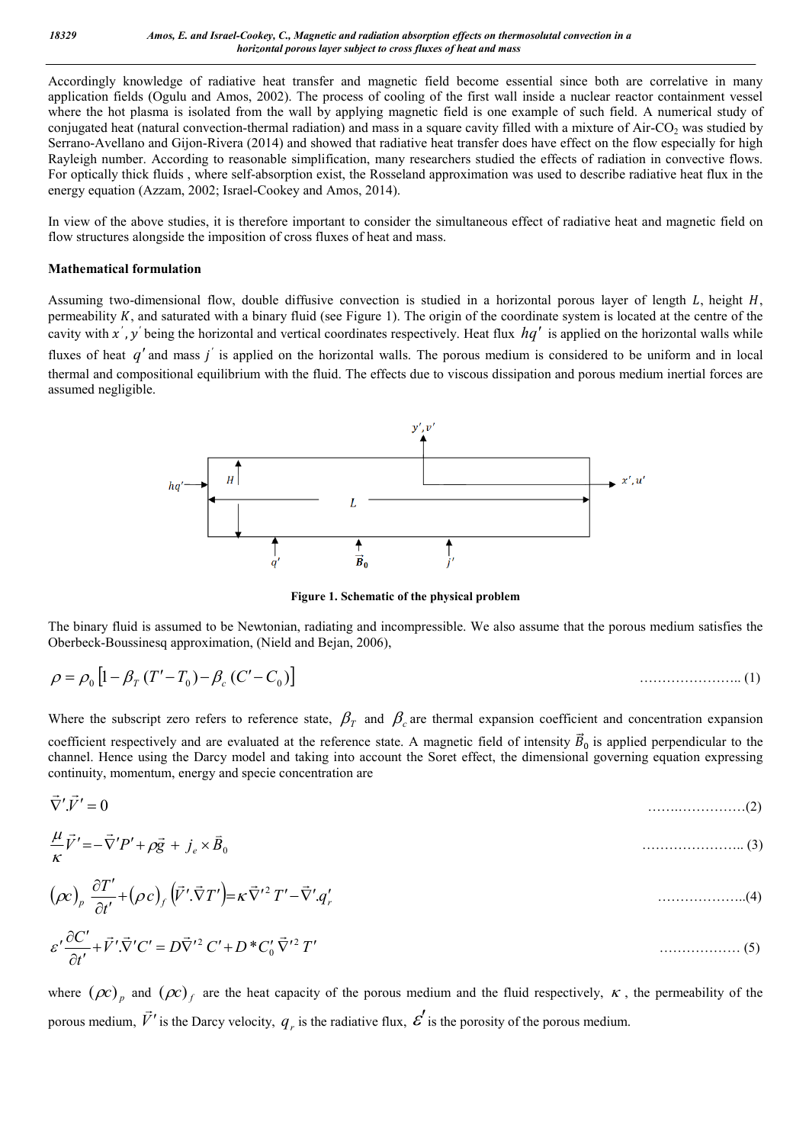Accordingly knowledge of radiative heat transfer and magnetic field become essential since both are correlative in many application fields (Ogulu and Amos, 2002). The process of cooling of the first wall inside a nuclear reactor containment vessel where the hot plasma is isolated from the wall by applying magnetic field is one example of such field. A numerical study of conjugated heat (natural convection-thermal radiation) and mass in a square cavity filled with a mixture of  $AirCO<sub>2</sub>$  was studied by Serrano-Avellano and Gijon-Rivera (2014) and showed that radiative heat transfer does have effect on the flow especially for high Rayleigh number. According to reasonable simplification, many researchers studied the effects of radiation in convective flows. For optically thick fluids , where self-absorption exist, the Rosseland approximation was used to describe radiative heat flux in the energy equation (Azzam, 2002; Israel-Cookey and Amos, 2014).

In view of the above studies, it is therefore important to consider the simultaneous effect of radiative heat and magnetic field on flow structures alongside the imposition of cross fluxes of heat and mass.

### **Mathematical formulation**

Assuming two-dimensional flow, double diffusive convection is studied in a horizontal porous layer of length  $L$ , height  $H$ , permeability  $K$ , and saturated with a binary fluid (see Figure 1). The origin of the coordinate system is located at the centre of the cavity with x', y' being the horizontal and vertical coordinates respectively. Heat flux  $hq'$  is applied on the horizontal walls while fluxes of heat *q'* and mass *j'* is applied on the horizontal walls. The porous medium is considered to be uniform and in local thermal and compositional equilibrium with the fluid. The effects due to viscous dissipation and porous medium inertial forces are assumed negligible.



**Figure 1. Schematic of the physical problem**

The binary fluid is assumed to be Newtonian, radiating and incompressible. We also assume that the porous medium satisfies the Oberbeck-Boussinesq approximation, (Nield and Bejan, 2006),

$$
\rho = \rho_0 \left[ 1 - \beta_T (T' - T_0) - \beta_c (C' - C_0) \right]
$$
\n(1)

Where the subscript zero refers to reference state,  $\beta<sub>r</sub>$  and  $\beta<sub>c</sub>$  are thermal expansion coefficient and concentration expansion coefficient respectively and are evaluated at the reference state. A magnetic field of intensity  $\vec{B}_0$  is applied perpendicular to the channel. Hence using the Darcy model and taking into account the Soret effect, the dimensional governing equation expressing continuity, momentum, energy and specie concentration are

$$
\vec{\nabla}' \cdot \vec{V}' = 0 \tag{2}
$$

$$
\frac{\mu}{\kappa}\vec{V}' = -\vec{\nabla}'P' + \rho\vec{g} + j_e \times \vec{B}_0
$$
\n(3)

$$
(\rho c)_p \frac{\partial T'}{\partial t'} + (\rho c)_f (\vec{V}'.\vec{\nabla}T') = \kappa \vec{\nabla}'^2 T' - \vec{\nabla}' .q'_r
$$
\n(4)

$$
\varepsilon' \frac{\partial C'}{\partial t'} + \vec{V}'.\vec{\nabla}' C' = D\vec{\nabla}'^2 C' + D^* C'_0 \vec{\nabla}'^2 T'
$$
\n(5)

where  $(\rho c)_p$  and  $(\rho c)_f$  are the heat capacity of the porous medium and the fluid respectively,  $\kappa$ , the permeability of the porous medium, *V*  $\vec{v}'$  is the Darcy velocity,  $q_r$  is the radiative flux,  $\vec{\epsilon}'$  is the porosity of the porous medium.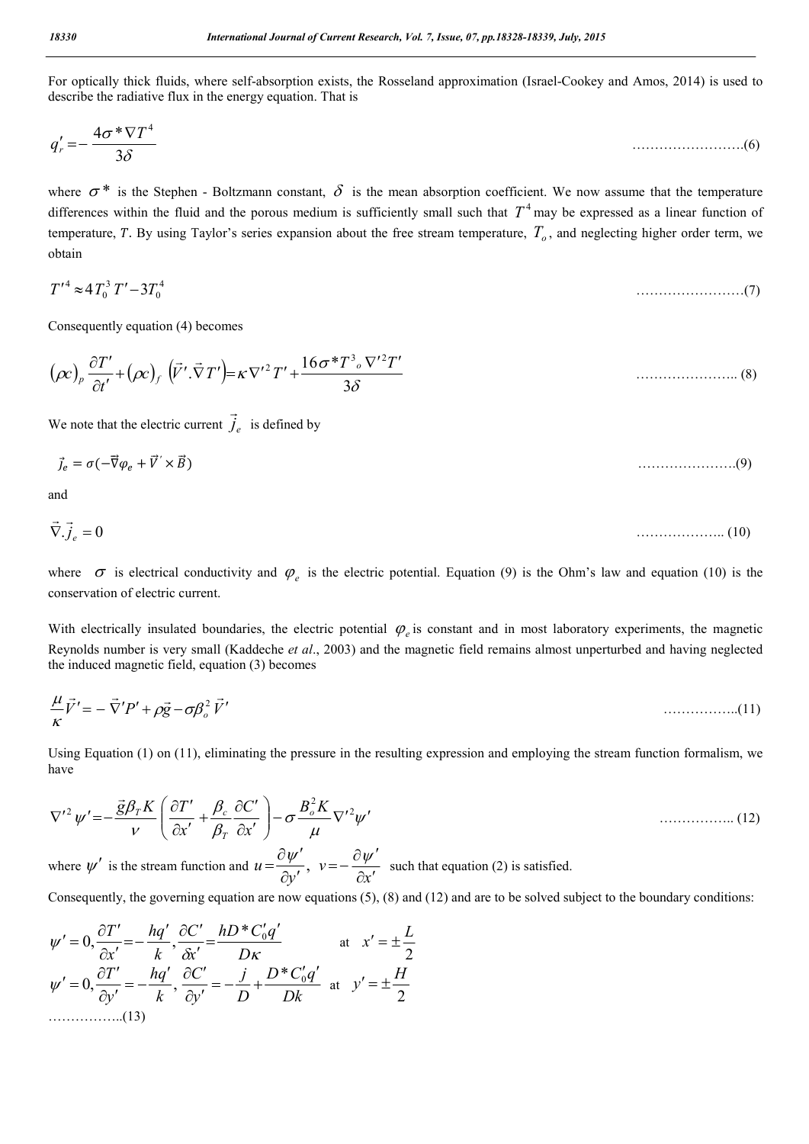For optically thick fluids, where self-absorption exists, the Rosseland approximation (Israel-Cookey and Amos, 2014) is used to describe the radiative flux in the energy equation. That is

$$
q'_r = -\frac{4\sigma^* \nabla T^4}{3\delta} \tag{6}
$$

where  $\sigma^*$  is the Stephen - Boltzmann constant,  $\delta$  is the mean absorption coefficient. We now assume that the temperature differences within the fluid and the porous medium is sufficiently small such that  $T<sup>4</sup>$  may be expressed as a linear function of temperature, T. By using Taylor's series expansion about the free stream temperature,  $T<sub>o</sub>$ , and neglecting higher order term, we obtain

$$
T'^4 \approx 4T_0^3 \, T' - 3T_0^4 \tag{7}
$$

Consequently equation (4) becomes

$$
(\rho c)_p \frac{\partial T'}{\partial t'} + (\rho c)_f \left(\vec{V}' \cdot \vec{\nabla} T'\right) = \kappa \nabla'^2 T' + \frac{16 \sigma^* T^3 \sqrt{V^2 T'}}{3 \delta}
$$
\n(8)

We note that the electric current  $\dot{J}_e$  $\overline{a}$ is defined by

$$
\vec{J}_e = \sigma(-\vec{\nabla}\varphi_e + \vec{V}' \times \vec{B})
$$
\n(9)

and

$$
\vec{\nabla}.\vec{j}_e = 0 \tag{10}
$$

where  $\sigma$  is electrical conductivity and  $\varphi_e$  is the electric potential. Equation (9) is the Ohm's law and equation (10) is the conservation of electric current.

With electrically insulated boundaries, the electric potential  $\varphi_e$  is constant and in most laboratory experiments, the magnetic Reynolds number is very small (Kaddeche *et al*., 2003) and the magnetic field remains almost unperturbed and having neglected the induced magnetic field, equation (3) becomes

$$
\frac{\mu}{\kappa}\vec{V}' = -\vec{\nabla}'P' + \rho\vec{g} - \sigma\beta_o^2\vec{V}'
$$
\n(11)

Using Equation (1) on (11), eliminating the pressure in the resulting expression and employing the stream function formalism, we have

$$
\nabla'^{2} \psi' = -\frac{\vec{g}\beta_{T}K}{\nu} \left( \frac{\partial T'}{\partial x'} + \frac{\beta_{c}}{\beta_{T}} \frac{\partial C'}{\partial x'} \right) - \sigma \frac{B_{o}^{2}K}{\mu} \nabla'^{2} \psi'
$$
\nwhere  $\psi'$  is the stream function and  $u = \frac{\partial \psi'}{\partial y'}$ ,  $v = -\frac{\partial \psi'}{\partial x'}$  such that equation (2) is satisfied.

Consequently, the governing equation are now equations (5), (8) and (12) and are to be solved subject to the boundary conditions:

$$
\psi' = 0, \frac{\partial T'}{\partial x'} = -\frac{hq'}{k}, \frac{\partial C'}{\partial x'} = \frac{hD \cdot C'_0 q'}{D\kappa} \quad \text{at} \quad x' = \pm \frac{L}{2}
$$
  

$$
\psi' = 0, \frac{\partial T'}{\partial y'} = -\frac{hq'}{k}, \frac{\partial C'}{\partial y'} = -\frac{j}{D} + \frac{D \cdot C'_0 q'}{Dk} \quad \text{at} \quad y' = \pm \frac{H}{2}
$$
  
.................(13)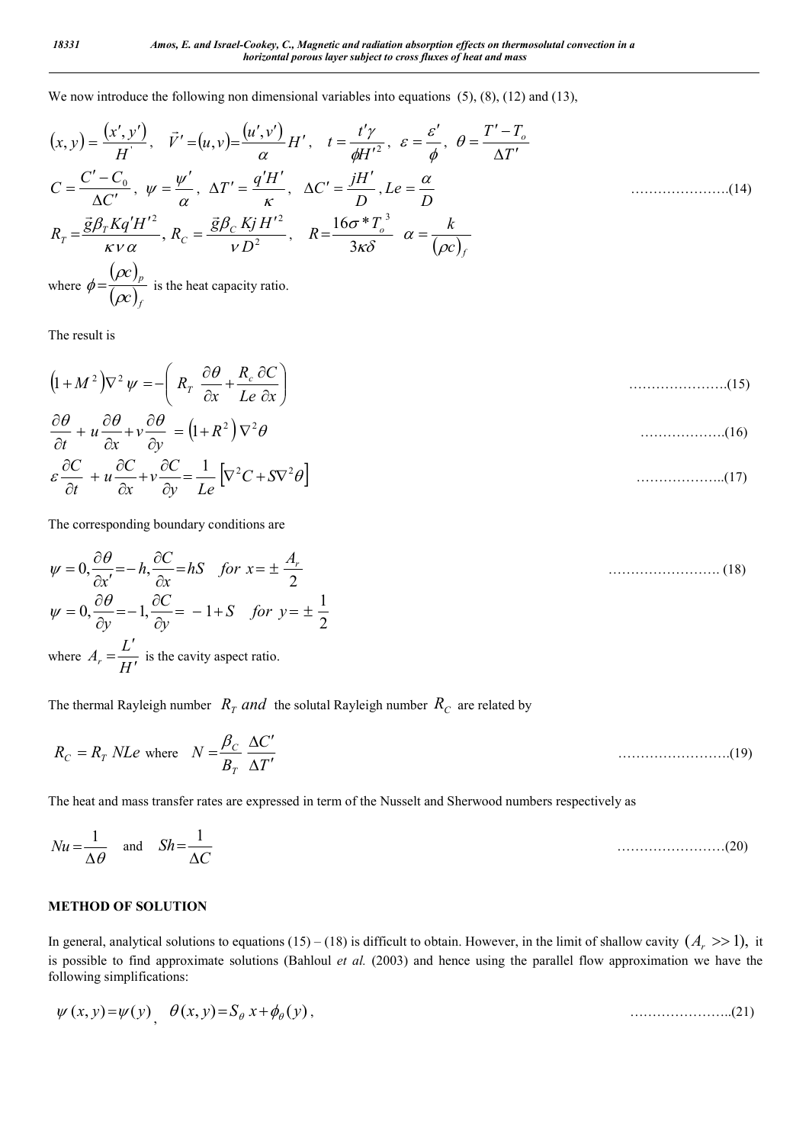We now introduce the following non dimensional variables into equations (5), (8), (12) and (13),

$$
(x, y) = \frac{(x', y')}{H}, \quad \vec{V}' = (u, v) = \frac{(u', v')}{\alpha} H', \quad t = \frac{t'\gamma}{\phi H'^2}, \quad \varepsilon = \frac{\varepsilon'}{\phi}, \quad \theta = \frac{T' - T_o}{\Delta T'}
$$
\n
$$
C = \frac{C' - C_o}{\Delta C'}, \quad \psi = \frac{\psi'}{\alpha}, \quad \Delta T' = \frac{q'H'}{\kappa}, \quad \Delta C' = \frac{jH'}{D}, \quad Le = \frac{\alpha}{D}
$$
\n
$$
R_T = \frac{\vec{g}\beta_T Kq'H'^2}{\kappa v \alpha}, \quad R_C = \frac{\vec{g}\beta_C KjH'^2}{vD^2}, \quad R = \frac{16\sigma^* T_o^3}{3\kappa \delta} \quad \alpha = \frac{k}{(\rho c)_f}
$$
\n
$$
(\rho c)_p
$$
\n
$$
(14)
$$

where  $\phi = \frac{(\rho c)}{\langle c \rangle}$  $(\rho c)_{_f}$ *p c*  $\rho$  $\phi = \frac{(\rho c)}{\langle \rangle}$  is the heat capacity ratio.

The result is

 $\partial$ 

*t*

$$
(1+M^2)\nabla^2 \psi = -\left(R_r \frac{\partial \theta}{\partial x} + \frac{R_c}{Le} \frac{\partial C}{\partial x}\right)
$$
 (15)

$$
\frac{\partial \theta}{\partial t} + u \frac{\partial \theta}{\partial x} + v \frac{\partial \theta}{\partial y} = (1 + R^2) \nabla^2 \theta \tag{16}
$$
\n
$$
\varepsilon \frac{\partial C}{\partial x} + u \frac{\partial C}{\partial x} + v \frac{\partial C}{\partial y} = \frac{1}{I} \left[ \nabla^2 C + S \nabla^2 \theta \right] \tag{17}
$$

The corresponding boundary conditions are

д

*y Le*

 $\partial$ 

*x*

$$
\psi = 0, \frac{\partial \theta}{\partial x'} = -h, \frac{\partial C}{\partial x} = hS \quad \text{for } x = \pm \frac{A_r}{2}
$$
  
\n
$$
\psi = 0, \frac{\partial \theta}{\partial y} = -1, \frac{\partial C}{\partial y} = -1 + S \quad \text{for } y = \pm \frac{1}{2}
$$
\n(18)

where  $A_r = \frac{L'}{H'}$  is the cavity aspect ratio.

The thermal Rayleigh number  $R_T$  and the solutal Rayleigh number  $R_C$  are related by

$$
R_C = R_T \text{ } NLe \text{ where } N = \frac{\beta_C}{B_T} \frac{\Delta C'}{\Delta T'}
$$
 (19)

The heat and mass transfer rates are expressed in term of the Nusselt and Sherwood numbers respectively as

$$
Nu = \frac{1}{\Delta\theta} \quad \text{and} \quad Sh = \frac{1}{\Delta C} \tag{20}
$$

### **METHOD OF SOLUTION**

In general, analytical solutions to equations (15) – (18) is difficult to obtain. However, in the limit of shallow cavity  $(A_r \gg 1)$ , it is possible to find approximate solutions (Bahloul *et al.* (2003) and hence using the parallel flow approximation we have the following simplifications:

$$
\psi(x, y) = \psi(y) \quad \theta(x, y) = S_{\theta} x + \phi_{\theta}(y), \tag{21}
$$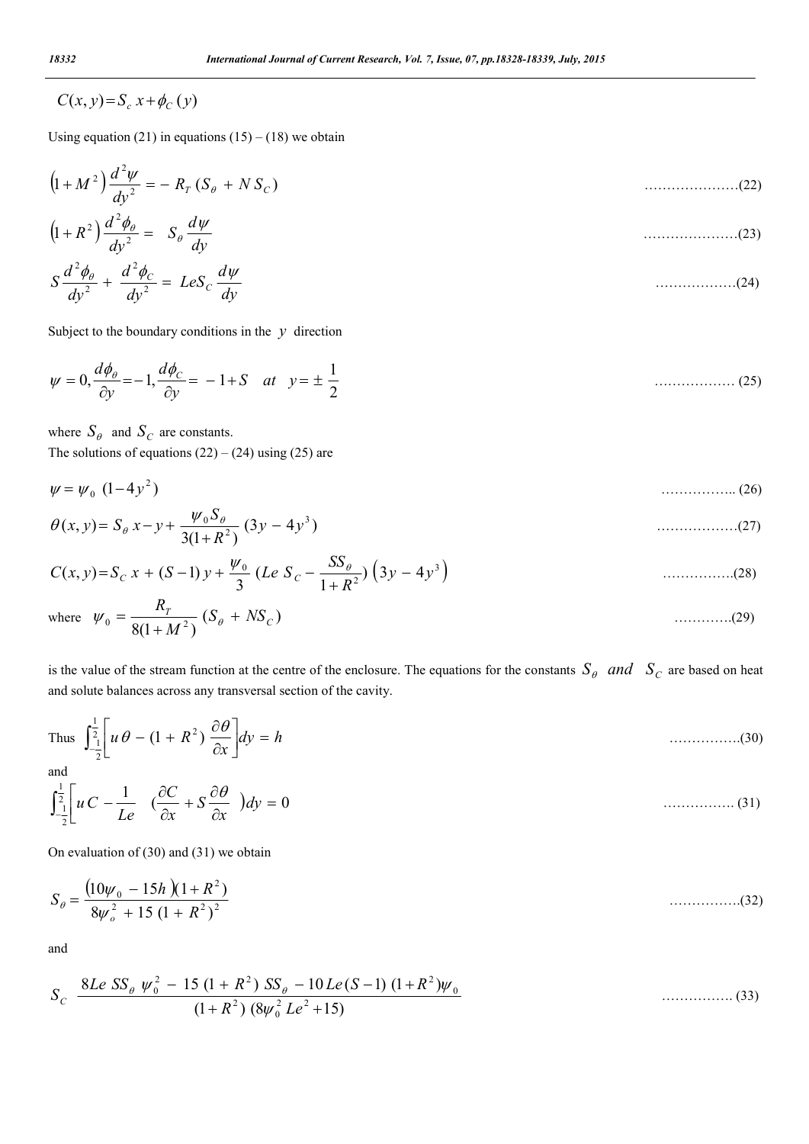$$
C(x, y) = S_c x + \phi_C(y)
$$

Using equation (21) in equations  $(15) - (18)$  we obtain

$$
(1+M^2)\frac{d^2\psi}{dy^2} = -R_T(S_\theta + NS_C)
$$
\n(22)

$$
(1+R^2)\frac{d^2\phi_{\theta}}{dy^2} = S_{\theta}\frac{d\psi}{dy}
$$
\n(23)

$$
S\frac{d^2\phi_\theta}{dy^2} + \frac{d^2\phi_C}{dy^2} = LeS_C\frac{d\psi}{dy}
$$
 (24)

Subject to the boundary conditions in the  $y$  direction

$$
\psi = 0, \frac{d\phi_{\theta}}{\partial y} = -1, \frac{d\phi_{C}}{\partial y} = -1 + S \quad at \quad y = \pm \frac{1}{2}
$$
 (25)

where  $S_{\theta}$  and  $S_{C}$  are constants.

The solutions of equations  $(22) - (24)$  using  $(25)$  are

$$
\psi = \psi_0 \, (1 - 4y^2) \tag{26}
$$

$$
\theta(x, y) = S_{\theta} x - y + \frac{\psi_0 S_{\theta}}{3(1 + R^2)} (3y - 4y^3)
$$
 (27)

$$
C(x, y) = S_C x + (S - 1) y + \frac{\psi_0}{3} (Le S_C - \frac{SS_\theta}{1 + R^2}) (3y - 4y^3)
$$
 (28)

where 
$$
\psi_0 = \frac{R_T}{8(1 + M^2)} (S_\theta + NS_C)
$$
 (29)

is the value of the stream function at the centre of the enclosure. The equations for the constants  $S_{\theta}$  and  $S_{C}$  are based on heat and solute balances across any transversal section of the cavity.

Thus 
$$
\int_{-\frac{1}{2}}^{\frac{1}{2}} \left[ u \theta - (1 + R^2) \frac{\partial \theta}{\partial x} \right] dy = h
$$
 (30)

and

$$
\int_{-\frac{1}{2}}^{\frac{1}{2}} \left[ uC - \frac{1}{Le} \left( \frac{\partial C}{\partial x} + S \frac{\partial \theta}{\partial x} \right) dy = 0 \qquad \qquad (31)
$$

On evaluation of (30) and (31) we obtain

$$
S_{\theta} = \frac{(10\psi_0 - 15h)(1 + R^2)}{8\psi_{o}^2 + 15(1 + R^2)^2}
$$
 (32)

and

$$
S_C \frac{8Le \, SS_\theta \, \psi_0^2 - 15 \, (1 + R^2) \, SS_\theta - 10 \, Le(S - 1) \, (1 + R^2) \psi_0}{(1 + R^2) \, (8 \psi_0^2 \, Le^2 + 15)} \qquad \qquad (33)
$$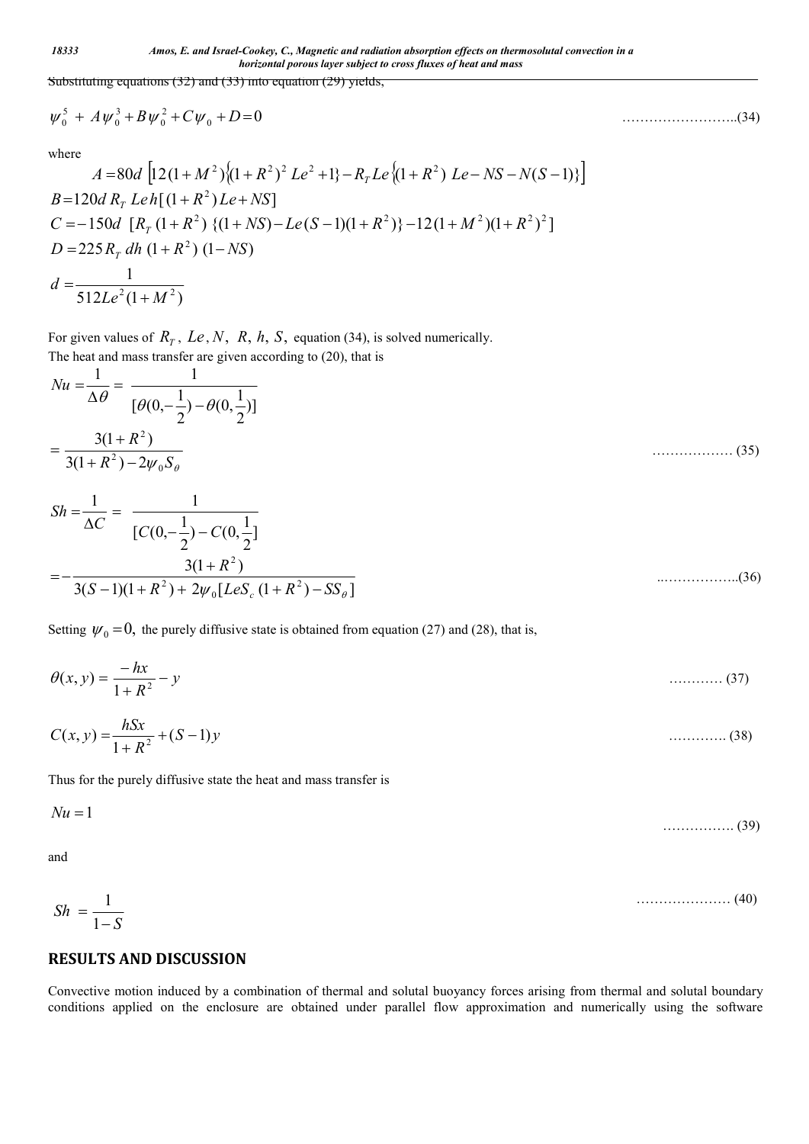*18333 Amos, E. and Israel-Cookey, C., Magnetic and radiation absorption effects on thermosolutal convection in a horizontal porous layer subject to cross fluxes of heat and mass*

Substituting equations (32) and (33) into equation (29) yields,

$$
\psi_0^5 + A\psi_0^3 + B\psi_0^2 + C\psi_0 + D = 0 \tag{34}
$$

where

$$
A = 80d \left[ 12(1+M^2)\{(1+R^2)^2 Le^2 + 1\} - R_T Le \{(1+R^2) Le - NS - N(S-1)\} \right]
$$
  
\n
$$
B = 120d R_T Leh[(1+R^2) Le + NS]
$$
  
\n
$$
C = -150d [R_T (1+R^2) \{(1+NS) - Le(S-1)(1+R^2)\} - 12(1+M^2)(1+R^2)^2]
$$
  
\n
$$
D = 225 R_T dh (1+R^2) (1-NS)
$$
  
\n
$$
d = \frac{1}{512Le^2(1+M^2)}
$$

For given values of  $R_T$ ,  $Le$ ,  $N$ ,  $R$ ,  $h$ ,  $S$ , equation (34), is solved numerically. The heat and mass transfer are given according to (20), that is

$$
Nu = \frac{1}{\Delta\theta} = \frac{1}{[\theta(0, -\frac{1}{2}) - \theta(0, \frac{1}{2})]}
$$
  
= 
$$
\frac{3(1 + R^2)}{3(1 + R^2) - 2\psi_0 S_\theta}
$$
  

$$
Sh = \frac{1}{\Delta C} = \frac{1}{IG(0, -\frac{1}{2}) - IG(0, \frac{1}{2})}
$$
 (35)

$$
\Delta C \qquad [C(0, -\frac{1}{2}) - C(0, \frac{1}{2})
$$
  
=  $-\frac{3(1 + R^2)}{3(S - 1)(1 + R^2) + 2\psi_0 [LeS_c (1 + R^2) - SS_\theta]}$ ............(36)

Setting  $\psi_0 = 0$ , the purely diffusive state is obtained from equation (27) and (28), that is,

$$
\theta(x, y) = \frac{-hx}{1 + R^2} - y \tag{37}
$$

$$
C(x, y) = \frac{hSx}{1 + R^2} + (S - 1)y
$$
\n(38)

Thus for the purely diffusive state the heat and mass transfer is

$$
Nu = 1 \tag{39}
$$

and

$$
Sh = \frac{1}{1-S} \tag{40}
$$

## **RESULTS AND DISCUSSION**

Convective motion induced by a combination of thermal and solutal buoyancy forces arising from thermal and solutal boundary conditions applied on the enclosure are obtained under parallel flow approximation and numerically using the software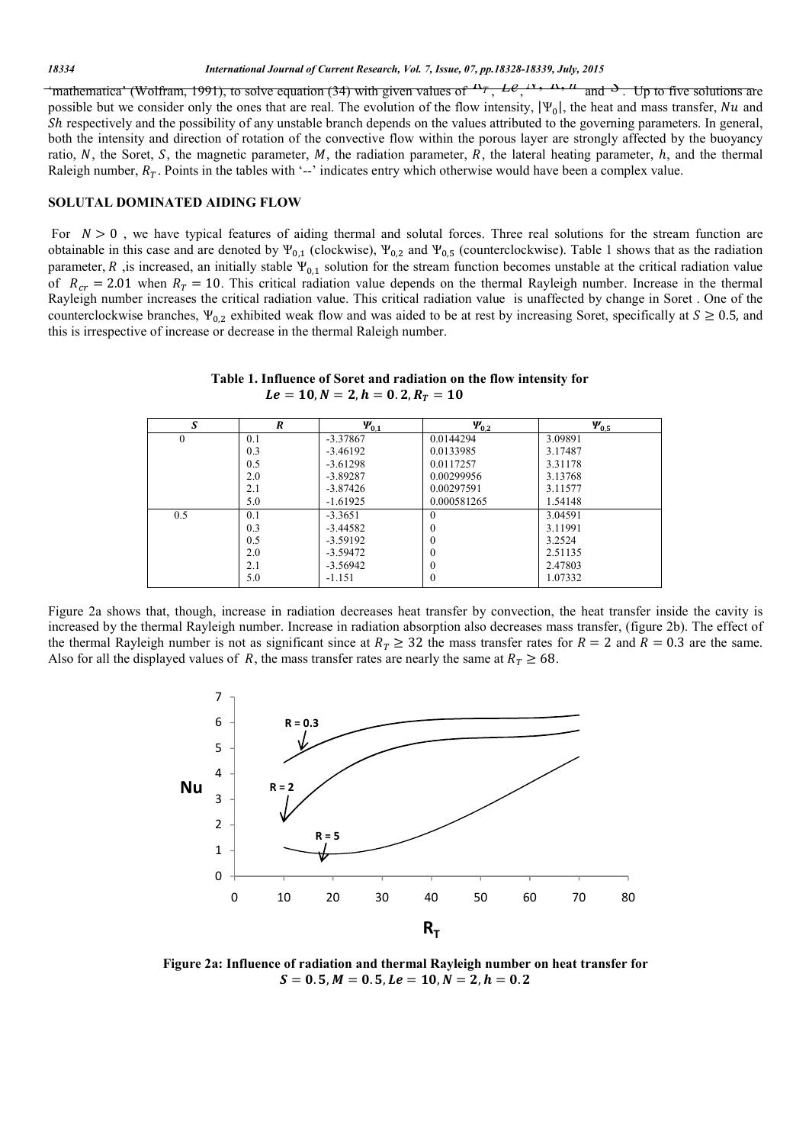"mathematica" (Wolfram, 1991), to solve equation (34) with given values of  $R_T$ ,  $Ll^2$ ,  $\mu$ ,  $R$ ,  $\mu$  and  $\Delta$ . Up to five solutions are possible but we consider only the ones that are real. The evolution of the flow intensity,  $|\Psi_0|$ , the heat and mass transfer, Nu and Sh respectively and the possibility of any unstable branch depends on the values attributed to the governing parameters. In general, both the intensity and direction of rotation of the convective flow within the porous layer are strongly affected by the buoyancy ratio, N, the Soret, S, the magnetic parameter,  $M$ , the radiation parameter,  $R$ , the lateral heating parameter,  $h$ , and the thermal Raleigh number,  $R_T$ . Points in the tables with '--' indicates entry which otherwise would have been a complex value.

### **SOLUTAL DOMINATED AIDING FLOW**

For  $N > 0$ , we have typical features of aiding thermal and solutal forces. Three real solutions for the stream function are obtainable in this case and are denoted by  $\Psi_{0,1}$  (clockwise),  $\Psi_{0,2}$  and  $\Psi_{0,5}$  (counterclockwise). Table 1 shows that as the radiation parameter, R, is increased, an initially stable  $\Psi_{0,1}$  solution for the stream function becomes unstable at the critical radiation value of  $R_{cr} = 2.01$  when  $R_T = 10$ . This critical radiation value depends on the thermal Rayleigh number. Increase in the thermal Rayleigh number increases the critical radiation value. This critical radiation value is unaffected by change in Soret . One of the counterclockwise branches,  $\Psi_{0,2}$  exhibited weak flow and was aided to be at rest by increasing Soret, specifically at  $S \ge 0.5$ , and this is irrespective of increase or decrease in the thermal Raleigh number.

 **Table 1. Influence of Soret and radiation on the flow intensity for**  $Le = 10, N = 2, h = 0.2, R_T = 10$ 

| S        | R   | $\Psi_{0,1}$ | $\Psi_{0,2}$ | $\Psi_{0,5}$ |
|----------|-----|--------------|--------------|--------------|
| $\Omega$ | 0.1 | $-3.37867$   | 0.0144294    | 3.09891      |
|          | 0.3 | $-3.46192$   | 0.0133985    | 3.17487      |
|          | 0.5 | $-3.61298$   | 0.0117257    | 3.31178      |
|          | 2.0 | $-3.89287$   | 0.00299956   | 3.13768      |
|          | 2.1 | $-3.87426$   | 0.00297591   | 3.11577      |
|          | 5.0 | $-1.61925$   | 0.000581265  | 1.54148      |
| 0.5      | 0.1 | $-3.3651$    | $\theta$     | 3.04591      |
|          | 0.3 | $-3.44582$   | $\theta$     | 3.11991      |
|          | 0.5 | $-3.59192$   | 0            | 3.2524       |
|          | 2.0 | $-3.59472$   | $\theta$     | 2.51135      |
|          | 2.1 | $-3.56942$   | $\theta$     | 2.47803      |
|          | 5.0 | $-1.151$     | $\theta$     | 1.07332      |

Figure 2a shows that, though, increase in radiation decreases heat transfer by convection, the heat transfer inside the cavity is increased by the thermal Rayleigh number. Increase in radiation absorption also decreases mass transfer, (figure 2b). The effect of the thermal Rayleigh number is not as significant since at  $R_T \geq 32$  the mass transfer rates for  $R = 2$  and  $R = 0.3$  are the same. Also for all the displayed values of R, the mass transfer rates are nearly the same at  $R<sub>T</sub> \ge 68$ .



**Figure 2a: Influence of radiation and thermal Rayleigh number on heat transfer for**   $S = 0.5, M = 0.5, Le = 10, N = 2, h = 0.2$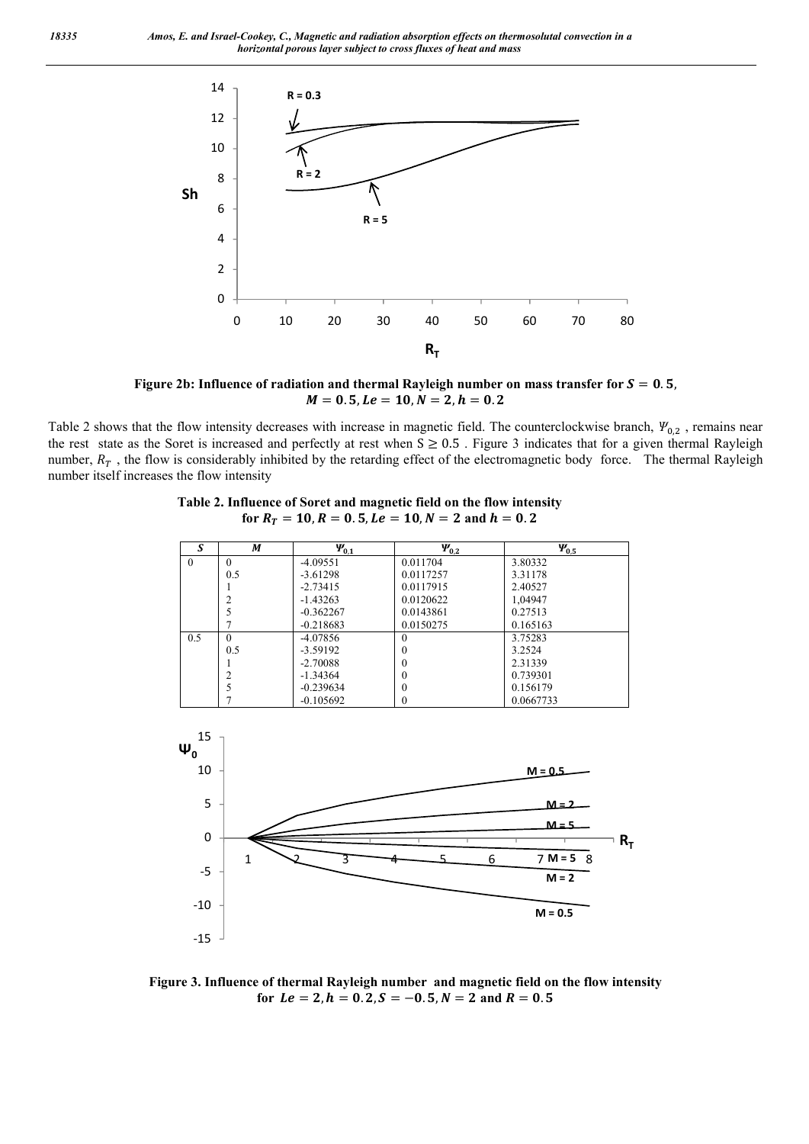

Figure 2b: Influence of radiation and thermal Rayleigh number on mass transfer for  $S = 0.5$ ,  $M = 0.5, Le = 10, N = 2, h = 0.2$ 

Table 2 shows that the flow intensity decreases with increase in magnetic field. The counterclockwise branch,  $\Psi_{0,2}$ , remains near the rest state as the Soret is increased and perfectly at rest when  $S \ge 0.5$ . Figure 3 indicates that for a given thermal Rayleigh number,  $R<sub>T</sub>$ , the flow is considerably inhibited by the retarding effect of the electromagnetic body force. The thermal Rayleigh number itself increases the flow intensity

> **Table 2. Influence of Soret and magnetic field on the flow intensity**  for  $R_T = 10$ ,  $R = 0.5$ ,  $Le = 10$ ,  $N = 2$  and  $h = 0.2$

| S        | M        | $\Psi_{0,1}$ | $\Psi_{0,2}$ | $\Psi_{0,5}$ |
|----------|----------|--------------|--------------|--------------|
| $\theta$ | $\theta$ | $-4.09551$   | 0.011704     | 3.80332      |
|          | 0.5      | $-3.61298$   | 0.0117257    | 3.31178      |
|          |          | $-2.73415$   | 0.0117915    | 2.40527      |
|          | 2        | $-1.43263$   | 0.0120622    | 1,04947      |
|          | 5        | $-0.362267$  | 0.0143861    | 0.27513      |
|          |          | $-0.218683$  | 0.0150275    | 0.165163     |
| 0.5      | $\Omega$ | $-4.07856$   | $\Omega$     | 3.75283      |
|          | 0.5      | $-3.59192$   | 0            | 3.2524       |
|          |          | $-2.70088$   | $\Omega$     | 2.31339      |
|          | 2        | $-1.34364$   | 0            | 0.739301     |
|          | 5        | $-0.239634$  | $\Omega$     | 0.156179     |
|          |          | $-0.105692$  | 0            | 0.0667733    |



**Figure 3. Influence of thermal Rayleigh number and magnetic field on the flow intensity** for  $Le = 2, h = 0.2, S = -0.5, N = 2$  and  $R = 0.5$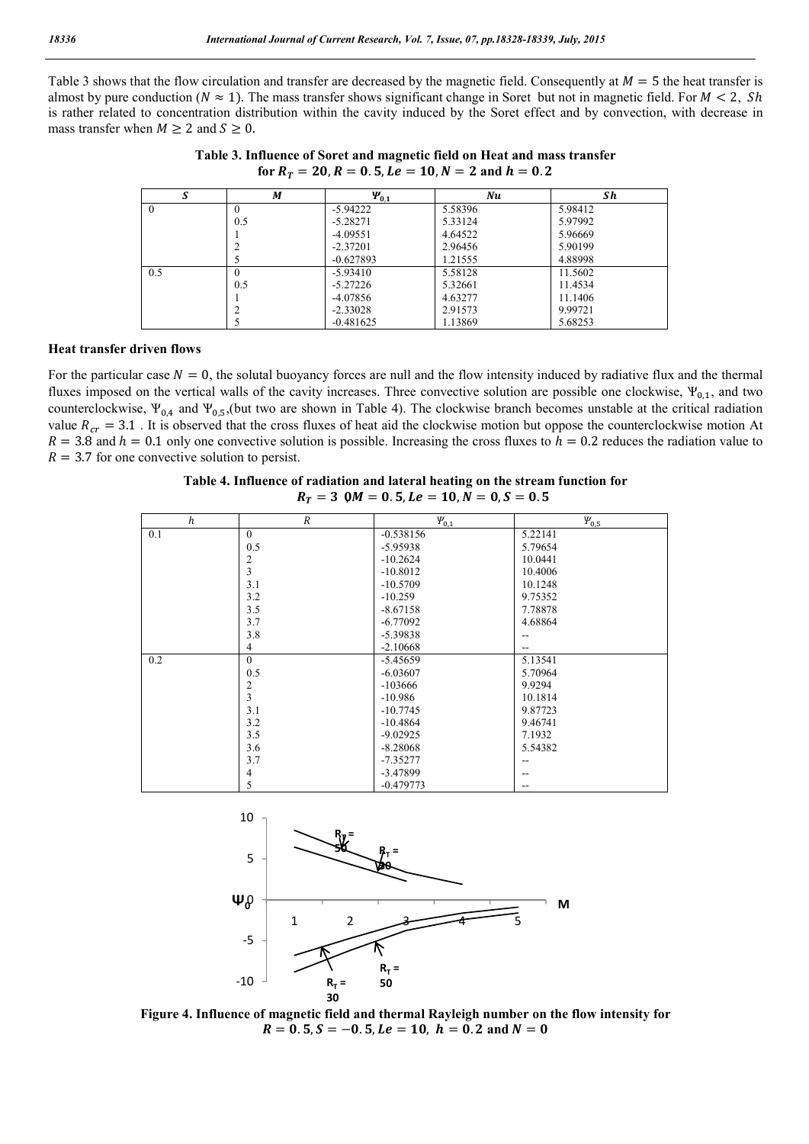Table 3 shows that the flow circulation and transfer are decreased by the magnetic field. Consequently at  $M = 5$  the heat transfer is almost by pure conduction ( $N \approx 1$ ). The mass transfer shows significant change in Soret but not in magnetic field. For  $M < 2$ , Sh is rather related to concentration distribution within the cavity induced by the Soret effect and by convection, with decrease in mass transfer when  $M \ge 2$  and  $S \ge 0$ .

| S        | М   | $\Psi_{0,1}$ | Nu      | Sh      |
|----------|-----|--------------|---------|---------|
| $\theta$ | 0   | $-5.94222$   | 5.58396 | 5.98412 |
|          | 0.5 | $-5.28271$   | 5.33124 | 5.97992 |
|          |     | $-4.09551$   | 4.64522 | 5.96669 |
|          |     | $-2.37201$   | 2.96456 | 5.90199 |
|          |     | $-0.627893$  | 1.21555 | 4.88998 |
| 0.5      | 0   | $-5.93410$   | 5.58128 | 11.5602 |
|          | 0.5 | $-5.27226$   | 5.32661 | 11.4534 |
|          |     | $-4.07856$   | 4.63277 | 11.1406 |
|          |     | $-2.33028$   | 2.91573 | 9.99721 |
|          |     | $-0.481625$  | 1.13869 | 5.68253 |

**Table 3. Influence of Soret and magnetic field on Heat and mass transfer** for  $R_T = 20$ ,  $R = 0.5$ ,  $Le = 10$ ,  $N = 2$  and  $h = 0.2$ 

#### **Heat transfer driven flows**

For the particular case  $N = 0$ , the solutal buoyancy forces are null and the flow intensity induced by radiative flux and the thermal fluxes imposed on the vertical walls of the cavity increases. Three convective solution are possible one clockwise,  $\Psi_{0,1}$ , and two counterclockwise,  $\Psi_{0,4}$  and  $\Psi_{0,5}$ , (but two are shown in Table 4). The clockwise branch becomes unstable at the critical radiation value  $R_{cr} = 3.1$ . It is observed that the cross fluxes of heat aid the clockwise motion but oppose the counterclockwise motion At  $R = 3.8$  and  $h = 0.1$  only one convective solution is possible. Increasing the cross fluxes to  $h = 0.2$  reduces the radiation value to  $R = 3.7$  for one convective solution to persist.

| $R_T = 30, M = 0.5, Le = 10, N = 0, S = 0.5$ |                  |              |              |  |  |  |
|----------------------------------------------|------------------|--------------|--------------|--|--|--|
| h                                            | $\boldsymbol{R}$ | $\Psi_{0,1}$ | $\Psi_{0,5}$ |  |  |  |
| 0.1                                          | $\theta$         | $-0.538156$  | 5.22141      |  |  |  |
|                                              | 0.5              | $-5.95938$   | 5.79654      |  |  |  |
|                                              | 2                | $-10.2624$   | 10.0441      |  |  |  |
|                                              | 3                | $-10.8012$   | 10.4006      |  |  |  |
|                                              | 3.1              | $-10.5709$   | 10.1248      |  |  |  |
|                                              | 3.2              | $-10.259$    | 9.75352      |  |  |  |
|                                              | 3.5              | $-8.67158$   | 7.78878      |  |  |  |
|                                              | 3.7              | $-6.77092$   | 4.68864      |  |  |  |
|                                              | 3.8              | $-5.39838$   |              |  |  |  |
|                                              | 4                | $-2.10668$   |              |  |  |  |
| 0.2                                          | $\mathbf{0}$     | $-5.45659$   | 5.13541      |  |  |  |
|                                              | 0.5              | $-6.03607$   | 5.70964      |  |  |  |
|                                              | 2                | $-103666$    | 9.9294       |  |  |  |
|                                              | 3                | $-10.986$    | 10.1814      |  |  |  |
|                                              | 3.1              | $-10.7745$   | 9.87723      |  |  |  |
|                                              | 3.2              | $-10.4864$   | 9.46741      |  |  |  |
|                                              | 3.5              | $-9.02925$   | 7.1932       |  |  |  |
|                                              | 3.6              | $-8.28068$   | 5.54382      |  |  |  |
|                                              | 3.7              | $-7.35277$   |              |  |  |  |
|                                              | $\overline{4}$   | $-3.47899$   | --           |  |  |  |

| Table 4. Influence of radiation and lateral heating on the stream function for |  |  |
|--------------------------------------------------------------------------------|--|--|
| $R_r = 30$ M = 0.5 Le = 10 N = 0.5 = 0.5                                       |  |  |



 $-0.47977$ 

--

5

**Figure 4. Influence of magnetic field and thermal Rayleigh number on the flow intensity for**  $R = 0.5, S = -0.5, Le = 10, h = 0.2$  and  $N = 0$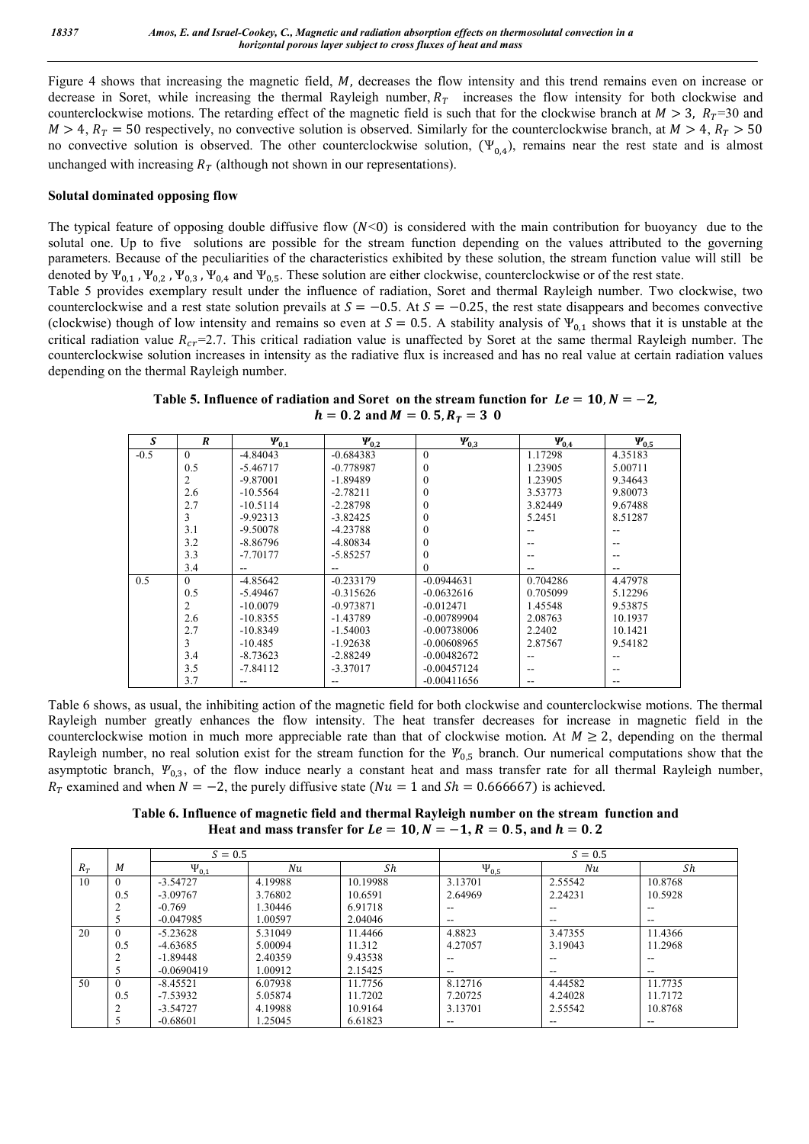Figure 4 shows that increasing the magnetic field, M, decreases the flow intensity and this trend remains even on increase or decrease in Soret, while increasing the thermal Rayleigh number,  $R<sub>T</sub>$  increases the flow intensity for both clockwise and counterclockwise motions. The retarding effect of the magnetic field is such that for the clockwise branch at  $M > 3$ ,  $R<sub>T</sub>=30$  and  $M > 4$ ,  $R_T = 50$  respectively, no convective solution is observed. Similarly for the counterclockwise branch, at  $M > 4$ ,  $R_T > 50$ no convective solution is observed. The other counterclockwise solution,  $(\Psi_{0,4})$ , remains near the rest state and is almost unchanged with increasing  $R<sub>T</sub>$  (although not shown in our representations).

### **Solutal dominated opposing flow**

The typical feature of opposing double diffusive flow  $(N<0)$  is considered with the main contribution for buoyancy due to the solutal one. Up to five solutions are possible for the stream function depending on the values attributed to the governing parameters. Because of the peculiarities of the characteristics exhibited by these solution, the stream function value will still be denoted by  $\Psi_{0,1}$ ,  $\Psi_{0,2}$ ,  $\Psi_{0,3}$ ,  $\Psi_{0,4}$  and  $\Psi_{0,5}$ . These solution are either clockwise, counterclockwise or of the rest state.

Table 5 provides exemplary result under the influence of radiation, Soret and thermal Rayleigh number. Two clockwise, two counterclockwise and a rest state solution prevails at  $S = -0.5$ . At  $S = -0.25$ , the rest state disappears and becomes convective (clockwise) though of low intensity and remains so even at  $S = 0.5$ . A stability analysis of  $\Psi_{0.1}$  shows that it is unstable at the critical radiation value  $R_{cr}$ =2.7. This critical radiation value is unaffected by Soret at the same thermal Rayleigh number. The counterclockwise solution increases in intensity as the radiative flux is increased and has no real value at certain radiation values depending on the thermal Rayleigh number.

**Table 5. Influence of radiation and Soret on the stream function for**  $Le = 10, N = -2$ **,**  $h = 0.2$  and  $M = 0.5$ ,  $R_T = 30$ 

| S      | $\boldsymbol{R}$ | $\Psi_{0,1}$ | $\Psi_{0,2}$ | $\Psi_{0.3}$  | $\Psi_{0,4}$ | $\Psi_{0,5}$ |
|--------|------------------|--------------|--------------|---------------|--------------|--------------|
| $-0.5$ | $\Omega$         | $-4.84043$   | $-0.684383$  | $\Omega$      | 1.17298      | 4.35183      |
|        | 0.5              | $-5.46717$   | $-0.778987$  | $\theta$      | 1.23905      | 5.00711      |
|        | 2                | $-9.87001$   | $-1.89489$   | $\theta$      | 1.23905      | 9.34643      |
|        | 2.6              | $-10.5564$   | $-2.78211$   | $\theta$      | 3.53773      | 9.80073      |
|        | 2.7              | $-10.5114$   | $-2.28798$   | $\theta$      | 3.82449      | 9.67488      |
|        |                  |              |              |               |              |              |
|        | 3                | $-9.92313$   | $-3.82425$   | $\theta$      | 5.2451       | 8.51287      |
|        | 3.1              | $-9.50078$   | $-4.23788$   | $\Omega$      |              |              |
|        | 3.2              | $-8.86796$   | $-4.80834$   | 0             |              |              |
|        | 3.3              | $-7.70177$   | $-5.85257$   | $\theta$      |              |              |
|        | 3.4              |              | --           | $\theta$      |              | --           |
| 0.5    | $\Omega$         | $-4.85642$   | $-0.233179$  | $-0.0944631$  | 0.704286     | 4.47978      |
|        | 0.5              | $-5.49467$   | $-0.315626$  | $-0.0632616$  | 0.705099     | 5.12296      |
|        | 2                | $-10.0079$   | $-0.973871$  | $-0.012471$   | 1.45548      | 9.53875      |
|        | 2.6              | $-10.8355$   | $-1.43789$   | -0.00789904   | 2.08763      | 10.1937      |
|        | 2.7              | $-10.8349$   | $-1.54003$   | $-0.00738006$ | 2.2402       | 10.1421      |
|        | 3                | $-10.485$    | $-1.92638$   | $-0.00608965$ | 2.87567      | 9.54182      |
|        | 3.4              | $-8.73623$   | $-2.88249$   | $-0.00482672$ |              |              |
|        | 3.5              | $-7.84112$   | $-3.37017$   | $-0.00457124$ |              |              |
|        | 3.7              |              |              | $-0.00411656$ |              |              |

Table 6 shows, as usual, the inhibiting action of the magnetic field for both clockwise and counterclockwise motions. The thermal Rayleigh number greatly enhances the flow intensity. The heat transfer decreases for increase in magnetic field in the counterclockwise motion in much more appreciable rate than that of clockwise motion. At  $M \ge 2$ , depending on the thermal Rayleigh number, no real solution exist for the stream function for the  $\Psi_{0,5}$  branch. Our numerical computations show that the asymptotic branch,  $\Psi_{0,3}$ , of the flow induce nearly a constant heat and mass transfer rate for all thermal Rayleigh number,  $R_T$  examined and when  $N = -2$ , the purely diffusive state ( $Nu = 1$  and  $Sh = 0.666667$ ) is achieved.

**Table 6. Influence of magnetic field and thermal Rayleigh number on the stream function and Heat and mass transfer for**  $Le = 10$ **,**  $N = -1$ **,**  $R = 0.5$ **, and**  $h = 0.2$ 

|       |                  | $S = 0.5$    |         |          | $S = 0.5$                             |                          |               |
|-------|------------------|--------------|---------|----------|---------------------------------------|--------------------------|---------------|
| $R_T$ | М                | $\Psi_{0,1}$ | Nu      | Sh       | $\Psi_{0,5}$                          | Nu                       | Sh            |
| 10    | $\theta$         | $-3.54727$   | 4.19988 | 10.19988 | 3.13701                               | 2.55542                  | 10.8768       |
|       | 0.5              | $-3.09767$   | 3.76802 | 10.6591  | 2.64969                               | 2.24231                  | 10.5928       |
|       |                  | $-0.769$     | 1.30446 | 6.91718  | --                                    |                          | --            |
|       |                  | $-0.047985$  | 1.00597 | 2.04046  | $-$                                   | $\overline{\phantom{m}}$ | $- -$         |
| 20    | $\theta$         | $-5.23628$   | 5.31049 | 11.4466  | 4.8823                                | 3.47355                  | 11.4366       |
|       | 0.5              | $-4.63685$   | 5.00094 | 11.312   | 4.27057                               | 3.19043                  | 11.2968       |
|       |                  | $-1.89448$   | 2.40359 | 9.43538  | $\hspace{0.05cm}$ – $\hspace{0.05cm}$ | $\overline{\phantom{m}}$ | $- -$         |
|       |                  | $-0.0690419$ | 1.00912 | 2.15425  | $\overline{\phantom{a}}$              | $\sim$ $\sim$            | $\sim$ $\sim$ |
| 50    | $\theta$         | $-8.45521$   | 6.07938 | 11.7756  | 8.12716                               | 4.44582                  | 11.7735       |
|       | 0.5              | $-7.53932$   | 5.05874 | 11.7202  | 7.20725                               | 4.24028                  | 11.7172       |
|       | $\mathbf \Omega$ | $-3.54727$   | 4.19988 | 10.9164  | 3.13701                               | 2.55542                  | 10.8768       |
|       |                  | $-0.68601$   | .25045  | 6.61823  | $\overline{\phantom{a}}$              | $\overline{\phantom{m}}$ | --            |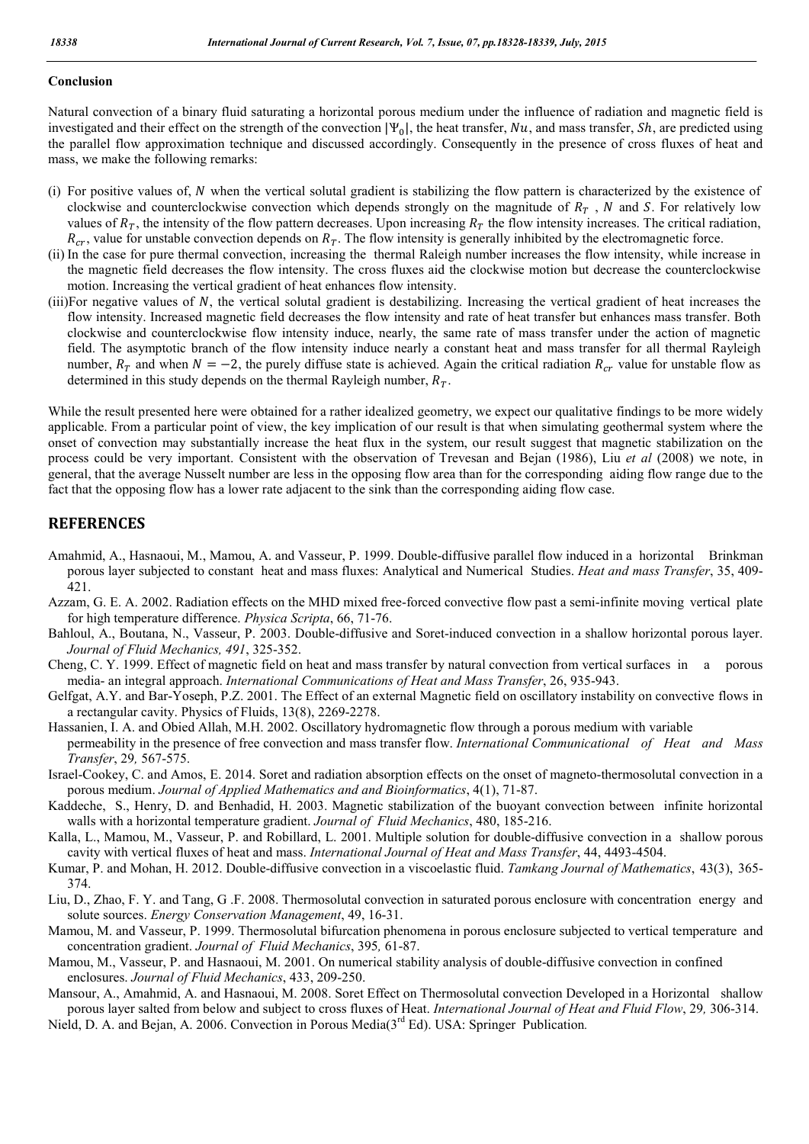### **Conclusion**

Natural convection of a binary fluid saturating a horizontal porous medium under the influence of radiation and magnetic field is investigated and their effect on the strength of the convection  $|\Psi_0|$ , the heat transfer,  $Nu$ , and mass transfer,  $Sh$ , are predicted using the parallel flow approximation technique and discussed accordingly. Consequently in the presence of cross fluxes of heat and mass, we make the following remarks:

- (i) For positive values of, when the vertical solutal gradient is stabilizing the flow pattern is characterized by the existence of clockwise and counterclockwise convection which depends strongly on the magnitude of  $R<sub>T</sub>$ , N and S. For relatively low values of  $R_T$ , the intensity of the flow pattern decreases. Upon increasing  $R_T$  the flow intensity increases. The critical radiation,  $R_{cr}$ , value for unstable convection depends on  $R_T$ . The flow intensity is generally inhibited by the electromagnetic force.
- (ii) In the case for pure thermal convection, increasing the thermal Raleigh number increases the flow intensity, while increase in the magnetic field decreases the flow intensity. The cross fluxes aid the clockwise motion but decrease the counterclockwise motion. Increasing the vertical gradient of heat enhances flow intensity.
- $(iii)$ For negative values of N, the vertical solutal gradient is destabilizing. Increasing the vertical gradient of heat increases the flow intensity. Increased magnetic field decreases the flow intensity and rate of heat transfer but enhances mass transfer. Both clockwise and counterclockwise flow intensity induce, nearly, the same rate of mass transfer under the action of magnetic field. The asymptotic branch of the flow intensity induce nearly a constant heat and mass transfer for all thermal Rayleigh number,  $R_T$  and when  $N = -2$ , the purely diffuse state is achieved. Again the critical radiation  $R_{cr}$  value for unstable flow as determined in this study depends on the thermal Rayleigh number,  $R_T$ .

While the result presented here were obtained for a rather idealized geometry, we expect our qualitative findings to be more widely applicable. From a particular point of view, the key implication of our result is that when simulating geothermal system where the onset of convection may substantially increase the heat flux in the system, our result suggest that magnetic stabilization on the process could be very important. Consistent with the observation of Trevesan and Bejan (1986), Liu *et al* (2008) we note, in general, that the average Nusselt number are less in the opposing flow area than for the corresponding aiding flow range due to the fact that the opposing flow has a lower rate adjacent to the sink than the corresponding aiding flow case.

### **REFERENCES**

- Amahmid, A., Hasnaoui, M., Mamou, A. and Vasseur, P. 1999. Double-diffusive parallel flow induced in a horizontal Brinkman porous layer subjected to constant heat and mass fluxes: Analytical and Numerical Studies. *Heat and mass Transfer*, 35, 409- 421.
- Azzam, G. E. A. 2002. Radiation effects on the MHD mixed free-forced convective flow past a semi-infinite moving vertical plate for high temperature difference. *Physica Scripta*, 66, 71-76.
- Bahloul, A., Boutana, N., Vasseur, P. 2003. Double-diffusive and Soret-induced convection in a shallow horizontal porous layer. *Journal of Fluid Mechanics, 491*, 325-352.
- Cheng, C. Y. 1999. Effect of magnetic field on heat and mass transfer by natural convection from vertical surfaces in a porous media- an integral approach. *International Communications of Heat and Mass Transfer*, 26, 935-943.
- Gelfgat, A.Y. and Bar-Yoseph, P.Z. 2001. The Effect of an external Magnetic field on oscillatory instability on convective flows in a rectangular cavity. Physics of Fluids, 13(8), 2269-2278.
- Hassanien, I. A. and Obied Allah, M.H. 2002. Oscillatory hydromagnetic flow through a porous medium with variable permeability in the presence of free convection and mass transfer flow. *International Communicational of Heat and Mass Transfer*, 29*,* 567-575.
- Israel-Cookey, C. and Amos, E. 2014. Soret and radiation absorption effects on the onset of magneto-thermosolutal convection in a porous medium. *Journal of Applied Mathematics and and Bioinformatics*, 4(1), 71-87.
- Kaddeche, S., Henry, D. and Benhadid, H. 2003. Magnetic stabilization of the buoyant convection between infinite horizontal walls with a horizontal temperature gradient. *Journal of Fluid Mechanics*, 480, 185-216.
- Kalla, L., Mamou, M., Vasseur, P. and Robillard, L. 2001. Multiple solution for double-diffusive convection in a shallow porous cavity with vertical fluxes of heat and mass. *International Journal of Heat and Mass Transfer*, 44, 4493-4504.
- Kumar, P. and Mohan, H. 2012. Double-diffusive convection in a viscoelastic fluid. *Tamkang Journal of Mathematics*, 43(3), 365- 374.
- Liu, D., Zhao, F. Y. and Tang, G .F. 2008. Thermosolutal convection in saturated porous enclosure with concentration energy and solute sources. *Energy Conservation Management*, 49, 16-31.
- Mamou, M. and Vasseur, P. 1999. Thermosolutal bifurcation phenomena in porous enclosure subjected to vertical temperature and concentration gradient. *Journal of Fluid Mechanics*, 395*,* 61-87.
- Mamou, M., Vasseur, P. and Hasnaoui, M. 2001. On numerical stability analysis of double-diffusive convection in confined enclosures. *Journal of Fluid Mechanics*, 433, 209-250.
- Mansour, A., Amahmid, A. and Hasnaoui, M. 2008. Soret Effect on Thermosolutal convection Developed in a Horizontal shallow porous layer salted from below and subject to cross fluxes of Heat. *International Journal of Heat and Fluid Flow*, 29*,* 306-314. Nield, D. A. and Bejan, A. 2006. Convection in Porous Media(3rd Ed). USA: Springer Publication*.*